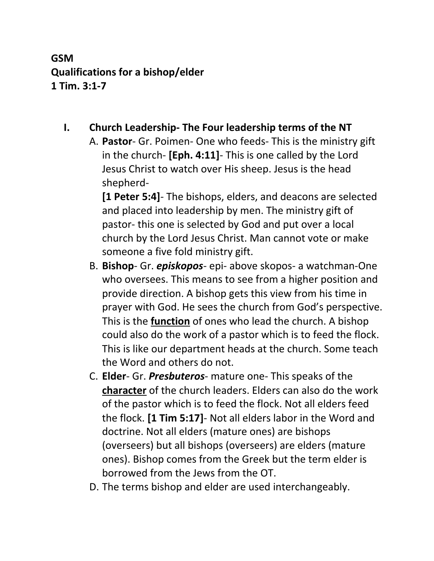# **GSM Qualifications for a bishop/elder 1 Tim. 3:1-7**

## **I. Church Leadership- The Four leadership terms of the NT**

A. **Pastor**- Gr. Poimen- One who feeds- This is the ministry gift in the church- **[Eph. 4:11]**- This is one called by the Lord Jesus Christ to watch over His sheep. Jesus is the head shepherd-

**[1 Peter 5:4]**- The bishops, elders, and deacons are selected and placed into leadership by men. The ministry gift of pastor- this one is selected by God and put over a local church by the Lord Jesus Christ. Man cannot vote or make someone a five fold ministry gift.

- B. **Bishop** Gr. *episkopos* epi- above skopos- a watchman-One who oversees. This means to see from a higher position and provide direction. A bishop gets this view from his time in prayer with God. He sees the church from God's perspective. This is the **function** of ones who lead the church. A bishop could also do the work of a pastor which is to feed the flock. This is like our department heads at the church. Some teach the Word and others do not.
- C. **Elder** Gr. *Presbuteros* mature one- This speaks of the **character** of the church leaders. Elders can also do the work of the pastor which is to feed the flock. Not all elders feed the flock. **[1 Tim 5:17]**- Not all elders labor in the Word and doctrine. Not all elders (mature ones) are bishops (overseers) but all bishops (overseers) are elders (mature ones). Bishop comes from the Greek but the term elder is borrowed from the Jews from the OT.
- D. The terms bishop and elder are used interchangeably.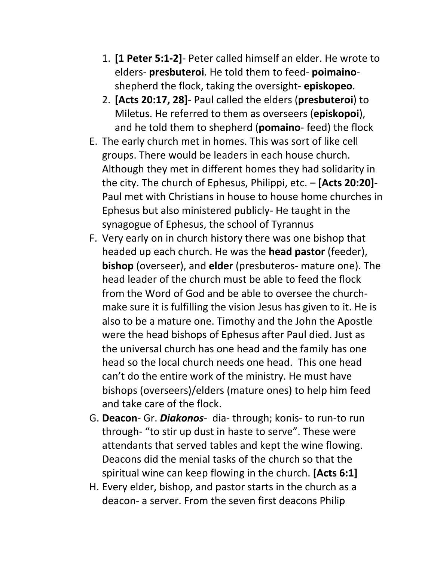- 1. **[1 Peter 5:1-2]** Peter called himself an elder. He wrote to elders- **presbuteroi**. He told them to feed- **poimaino**shepherd the flock, taking the oversight- **episkopeo**.
- 2. **[Acts 20:17, 28]** Paul called the elders (**presbuteroi**) to Miletus. He referred to them as overseers (**episkopoi**), and he told them to shepherd (**pomaino**- feed) the flock
- E. The early church met in homes. This was sort of like cell groups. There would be leaders in each house church. Although they met in different homes they had solidarity in the city. The church of Ephesus, Philippi, etc. – **[Acts 20:20]**- Paul met with Christians in house to house home churches in Ephesus but also ministered publicly- He taught in the synagogue of Ephesus, the school of Tyrannus
- F. Very early on in church history there was one bishop that headed up each church. He was the **head pastor** (feeder), **bishop** (overseer), and **elder** (presbuteros- mature one). The head leader of the church must be able to feed the flock from the Word of God and be able to oversee the churchmake sure it is fulfilling the vision Jesus has given to it. He is also to be a mature one. Timothy and the John the Apostle were the head bishops of Ephesus after Paul died. Just as the universal church has one head and the family has one head so the local church needs one head. This one head can't do the entire work of the ministry. He must have bishops (overseers)/elders (mature ones) to help him feed and take care of the flock.
- G. **Deacon** Gr. *Diakonos* dia- through; konis- to run-to run through- "to stir up dust in haste to serve". These were attendants that served tables and kept the wine flowing. Deacons did the menial tasks of the church so that the spiritual wine can keep flowing in the church. **[Acts 6:1]**
- H. Every elder, bishop, and pastor starts in the church as a deacon- a server. From the seven first deacons Philip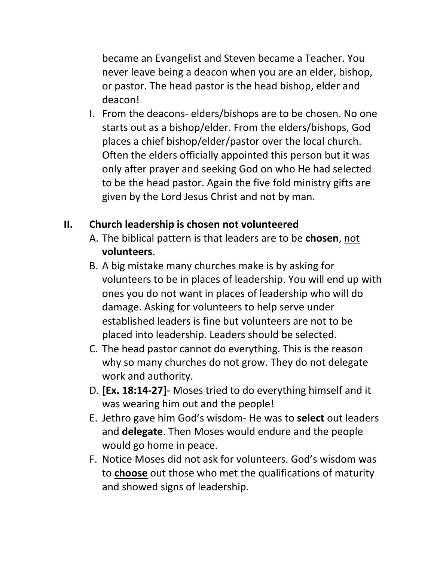became an Evangelist and Steven became a Teacher. You never leave being a deacon when you are an elder, bishop, or pastor. The head pastor is the head bishop, elder and deacon!

I. From the deacons- elders/bishops are to be chosen. No one starts out as a bishop/elder. From the elders/bishops, God places a chief bishop/elder/pastor over the local church. Often the elders officially appointed this person but it was only after prayer and seeking God on who He had selected to be the head pastor. Again the five fold ministry gifts are given by the Lord Jesus Christ and not by man.

## **II. Church leadership is chosen not volunteered**

- A. The biblical pattern is that leaders are to be **chosen**, not **volunteers**.
- B. A big mistake many churches make is by asking for volunteers to be in places of leadership. You will end up with ones you do not want in places of leadership who will do damage. Asking for volunteers to help serve under established leaders is fine but volunteers are not to be placed into leadership. Leaders should be selected.
- C. The head pastor cannot do everything. This is the reason why so many churches do not grow. They do not delegate work and authority.
- D. **[Ex. 18:14-27]** Moses tried to do everything himself and it was wearing him out and the people!
- E. Jethro gave him God's wisdom- He was to **select** out leaders and **delegate**. Then Moses would endure and the people would go home in peace.
- F. Notice Moses did not ask for volunteers. God's wisdom was to **choose** out those who met the qualifications of maturity and showed signs of leadership.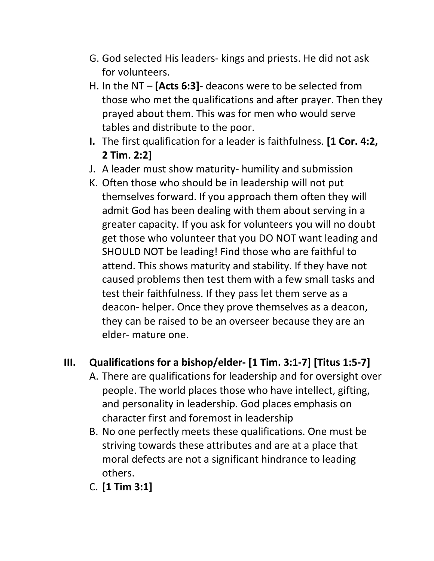- G. God selected His leaders- kings and priests. He did not ask for volunteers.
- H. In the NT **[Acts 6:3]** deacons were to be selected from those who met the qualifications and after prayer. Then they prayed about them. This was for men who would serve tables and distribute to the poor.
- **I.** The first qualification for a leader is faithfulness. **[1 Cor. 4:2, 2 Tim. 2:2]**
- J. A leader must show maturity- humility and submission
- K. Often those who should be in leadership will not put themselves forward. If you approach them often they will admit God has been dealing with them about serving in a greater capacity. If you ask for volunteers you will no doubt get those who volunteer that you DO NOT want leading and SHOULD NOT be leading! Find those who are faithful to attend. This shows maturity and stability. If they have not caused problems then test them with a few small tasks and test their faithfulness. If they pass let them serve as a deacon- helper. Once they prove themselves as a deacon, they can be raised to be an overseer because they are an elder- mature one.

## **III. Qualifications for a bishop/elder- [1 Tim. 3:1-7] [Titus 1:5-7]**

- A. There are qualifications for leadership and for oversight over people. The world places those who have intellect, gifting, and personality in leadership. God places emphasis on character first and foremost in leadership
- B. No one perfectly meets these qualifications. One must be striving towards these attributes and are at a place that moral defects are not a significant hindrance to leading others.
- C. **[1 Tim 3:1]**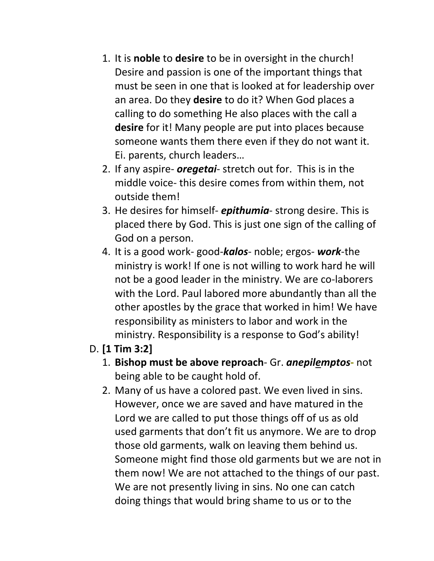- 1. It is **noble** to **desire** to be in oversight in the church! Desire and passion is one of the important things that must be seen in one that is looked at for leadership over an area. Do they **desire** to do it? When God places a calling to do something He also places with the call a **desire** for it! Many people are put into places because someone wants them there even if they do not want it. Ei. parents, church leaders…
- 2. If any aspire- *oregetai* stretch out for. This is in the middle voice- this desire comes from within them, not outside them!
- 3. He desires for himself- *epithumia* strong desire. This is placed there by God. This is just one sign of the calling of God on a person.
- 4. It is a good work- good-*kalos* noble; ergos- *work*-the ministry is work! If one is not willing to work hard he will not be a good leader in the ministry. We are co-laborers with the Lord. Paul labored more abundantly than all the other apostles by the grace that worked in him! We have responsibility as ministers to labor and work in the ministry. Responsibility is a response to God's ability!

## D. **[1 Tim 3:2]**

- 1. **Bishop must be above reproach** Gr. *anepilemptos***-** not being able to be caught hold of.
- 2. Many of us have a colored past. We even lived in sins. However, once we are saved and have matured in the Lord we are called to put those things off of us as old used garments that don't fit us anymore. We are to drop those old garments, walk on leaving them behind us. Someone might find those old garments but we are not in them now! We are not attached to the things of our past. We are not presently living in sins. No one can catch doing things that would bring shame to us or to the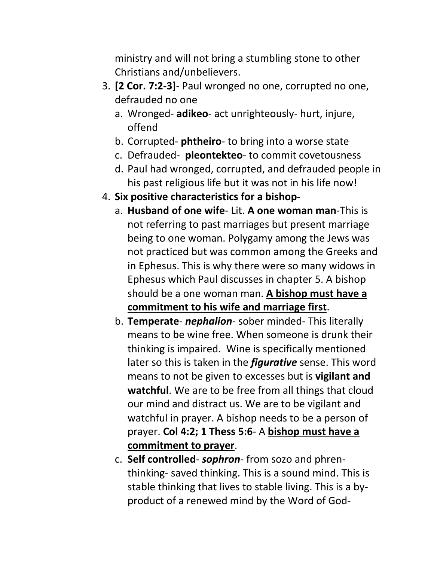ministry and will not bring a stumbling stone to other Christians and/unbelievers.

- 3. **[2 Cor. 7:2-3]** Paul wronged no one, corrupted no one, defrauded no one
	- a. Wronged- **adikeo** act unrighteously- hurt, injure, offend
	- b. Corrupted- **phtheiro** to bring into a worse state
	- c. Defrauded- **pleontekteo** to commit covetousness
	- d. Paul had wronged, corrupted, and defrauded people in his past religious life but it was not in his life now!
- 4. **Six positive characteristics for a bishop**
	- a. **Husband of one wife** Lit. **A one woman man**-This is not referring to past marriages but present marriage being to one woman. Polygamy among the Jews was not practiced but was common among the Greeks and in Ephesus. This is why there were so many widows in Ephesus which Paul discusses in chapter 5. A bishop should be a one woman man. **A bishop must have a commitment to his wife and marriage first**.
	- b. **Temperate** *nephalion* sober minded- This literally means to be wine free. When someone is drunk their thinking is impaired. Wine is specifically mentioned later so this is taken in the *figurative* sense. This word means to not be given to excesses but is **vigilant and watchful**. We are to be free from all things that cloud our mind and distract us. We are to be vigilant and watchful in prayer. A bishop needs to be a person of prayer. **Col 4:2; 1 Thess 5:6**- A **bishop must have a commitment to prayer**.
	- c. **Self controlled** *sophron* from sozo and phrenthinking- saved thinking. This is a sound mind. This is stable thinking that lives to stable living. This is a byproduct of a renewed mind by the Word of God-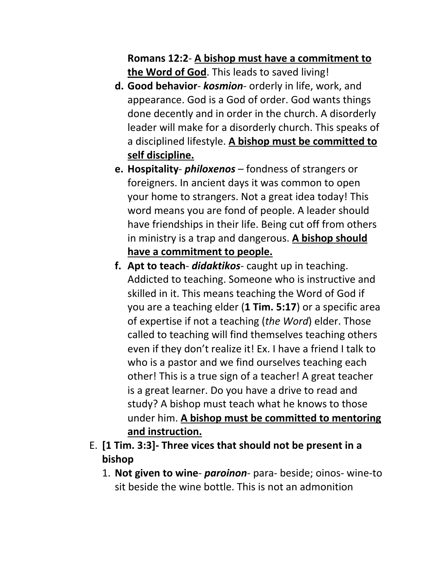## **Romans 12:2**- **A bishop must have a commitment to the Word of God**. This leads to saved living!

- **d. Good behavior** *kosmion* orderly in life, work, and appearance. God is a God of order. God wants things done decently and in order in the church. A disorderly leader will make for a disorderly church. This speaks of a disciplined lifestyle. **A bishop must be committed to self discipline.**
- **e. Hospitality** *philoxenos* fondness of strangers or foreigners. In ancient days it was common to open your home to strangers. Not a great idea today! This word means you are fond of people. A leader should have friendships in their life. Being cut off from others in ministry is a trap and dangerous. **A bishop should have a commitment to people.**
- **f. Apt to teach** *didaktikos* caught up in teaching. Addicted to teaching. Someone who is instructive and skilled in it. This means teaching the Word of God if you are a teaching elder (**1 Tim. 5:17**) or a specific area of expertise if not a teaching (*the Word*) elder. Those called to teaching will find themselves teaching others even if they don't realize it! Ex. I have a friend I talk to who is a pastor and we find ourselves teaching each other! This is a true sign of a teacher! A great teacher is a great learner. Do you have a drive to read and study? A bishop must teach what he knows to those under him. **A bishop must be committed to mentoring and instruction.**
- E. **[1 Tim. 3:3]- Three vices that should not be present in a bishop**
	- 1. **Not given to wine** *paroinon* para- beside; oinos- wine-to sit beside the wine bottle. This is not an admonition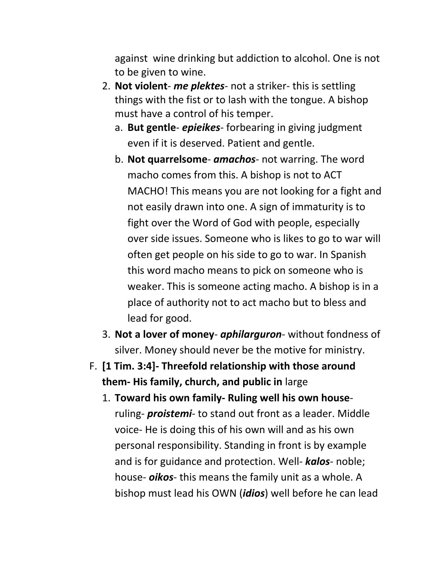against wine drinking but addiction to alcohol. One is not to be given to wine.

- 2. **Not violent** *me plektes* not a striker- this is settling things with the fist or to lash with the tongue. A bishop must have a control of his temper.
	- a. **But gentle** *epieikes* forbearing in giving judgment even if it is deserved. Patient and gentle.
	- b. **Not quarrelsome** *amachos* not warring. The word macho comes from this. A bishop is not to ACT MACHO! This means you are not looking for a fight and not easily drawn into one. A sign of immaturity is to fight over the Word of God with people, especially over side issues. Someone who is likes to go to war will often get people on his side to go to war. In Spanish this word macho means to pick on someone who is weaker. This is someone acting macho. A bishop is in a place of authority not to act macho but to bless and lead for good.
- 3. **Not a lover of money** *aphilarguron* without fondness of silver. Money should never be the motive for ministry.
- F. **[1 Tim. 3:4]- Threefold relationship with those around them- His family, church, and public in** large
	- 1. **Toward his own family- Ruling well his own house**ruling- *proistemi*- to stand out front as a leader. Middle voice- He is doing this of his own will and as his own personal responsibility. Standing in front is by example and is for guidance and protection. Well- *kalos*- noble; house- *oikos*- this means the family unit as a whole. A bishop must lead his OWN (*idios*) well before he can lead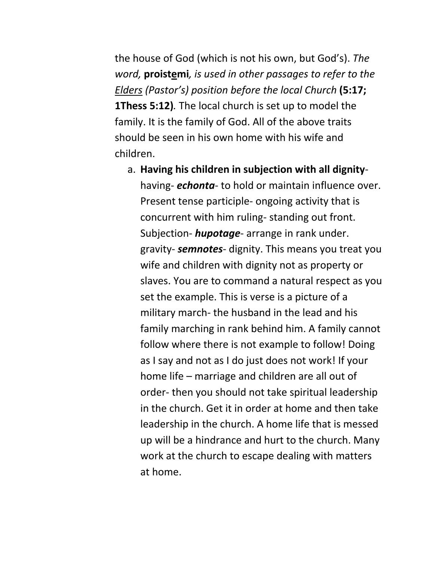the house of God (which is not his own, but God's). *The word,* **proistemi***, is used in other passages to refer to the Elders (Pastor's) position before the local Church* **(5:17; 1Thess 5:12)***.* The local church is set up to model the family. It is the family of God. All of the above traits should be seen in his own home with his wife and children.

a. **Having his children in subjection with all dignity**having- *echonta*- to hold or maintain influence over. Present tense participle- ongoing activity that is concurrent with him ruling- standing out front. Subjection- *hupotage*- arrange in rank under. gravity- *semnotes*- dignity. This means you treat you wife and children with dignity not as property or slaves. You are to command a natural respect as you set the example. This is verse is a picture of a military march- the husband in the lead and his family marching in rank behind him. A family cannot follow where there is not example to follow! Doing as I say and not as I do just does not work! If your home life – marriage and children are all out of order- then you should not take spiritual leadership in the church. Get it in order at home and then take leadership in the church. A home life that is messed up will be a hindrance and hurt to the church. Many work at the church to escape dealing with matters at home.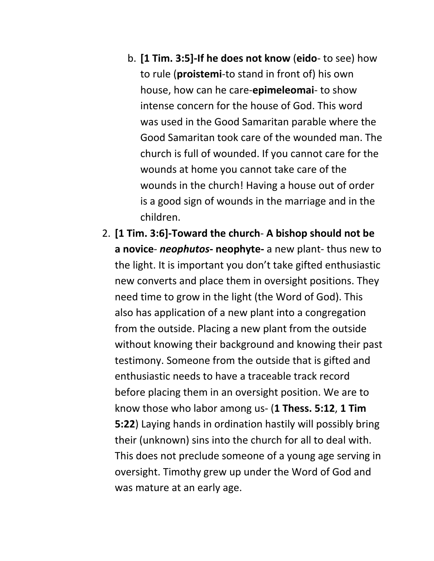- b. **[1 Tim. 3:5]-If he does not know** (**eido** to see) how to rule (**proistemi**-to stand in front of) his own house, how can he care-**epimeleomai**- to show intense concern for the house of God. This word was used in the Good Samaritan parable where the Good Samaritan took care of the wounded man. The church is full of wounded. If you cannot care for the wounds at home you cannot take care of the wounds in the church! Having a house out of order is a good sign of wounds in the marriage and in the children.
- 2. **[1 Tim. 3:6]-Toward the church A bishop should not be a novice**- *neophutos***- neophyte-** a new plant- thus new to the light. It is important you don't take gifted enthusiastic new converts and place them in oversight positions. They need time to grow in the light (the Word of God). This also has application of a new plant into a congregation from the outside. Placing a new plant from the outside without knowing their background and knowing their past testimony. Someone from the outside that is gifted and enthusiastic needs to have a traceable track record before placing them in an oversight position. We are to know those who labor among us- (**1 Thess. 5:12**, **1 Tim 5:22**) Laying hands in ordination hastily will possibly bring their (unknown) sins into the church for all to deal with. This does not preclude someone of a young age serving in oversight. Timothy grew up under the Word of God and was mature at an early age.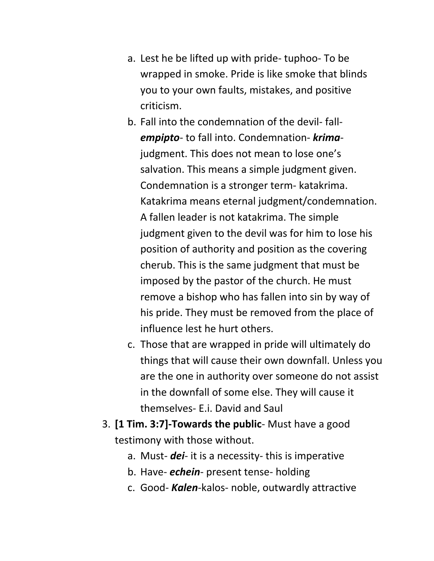- a. Lest he be lifted up with pride- tuphoo- To be wrapped in smoke. Pride is like smoke that blinds you to your own faults, mistakes, and positive criticism.
- b. Fall into the condemnation of the devil- fall*empipto*- to fall into. Condemnation- *krima*judgment. This does not mean to lose one's salvation. This means a simple judgment given. Condemnation is a stronger term- katakrima. Katakrima means eternal judgment/condemnation. A fallen leader is not katakrima. The simple judgment given to the devil was for him to lose his position of authority and position as the covering cherub. This is the same judgment that must be imposed by the pastor of the church. He must remove a bishop who has fallen into sin by way of his pride. They must be removed from the place of influence lest he hurt others.
- c. Those that are wrapped in pride will ultimately do things that will cause their own downfall. Unless you are the one in authority over someone do not assist in the downfall of some else. They will cause it themselves- E.i. David and Saul
- 3. **[1 Tim. 3:7]-Towards the public** Must have a good testimony with those without.
	- a. Must- *dei* it is a necessity- this is imperative
	- b. Have- *echein* present tense- holding
	- c. Good- *Kalen*-kalos- noble, outwardly attractive